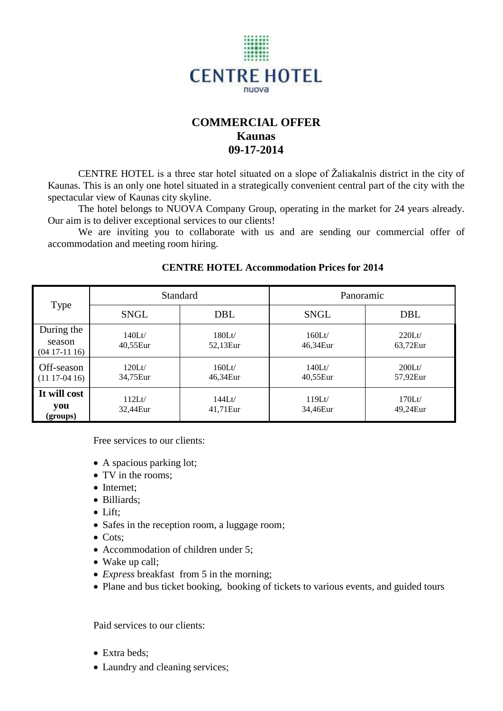

# **COMMERCIAL OFFER Kaunas 09-17-2014**

CENTRE HOTEL is a three star hotel situated on a slope of Žaliakalnis district in the city of Kaunas. This is an only one hotel situated in a strategically convenient central part of the city with the spectacular view of Kaunas city skyline.

The hotel belongs to NUOVA Company Group, operating in the market for 24 years already. Our aim is to deliver exceptional services to our clients!

We are inviting you to collaborate with us and are sending our commercial offer of accommodation and meeting room hiring.

| Type                                  | <b>Standard</b>       |                       | Panoramic             |                       |
|---------------------------------------|-----------------------|-----------------------|-----------------------|-----------------------|
|                                       | <b>SNGL</b>           | DBL                   | <b>SNGL</b>           | DBL                   |
| During the<br>season<br>$(0417-1116)$ | $140$ Lt/<br>40,55Eur | $180$ Lt/<br>52,13Eur | $160$ Lt/<br>46,34Eur | $220$ Lt/<br>63,72Eur |
| Off-season<br>$(1117-0416)$           | 120Lt/<br>34,75Eur    | $160$ Lt/<br>46,34Eur | $140$ Lt/<br>40,55Eur | $200$ Lt/<br>57,92Eur |
| It will cost<br>you<br>(groups)       | $112$ Lt/<br>32,44Eur | $144$ Lt/<br>41,71Eur | $119$ Lt/<br>34,46Eur | $170$ Lt/<br>49,24Eur |

## **CENTRE HOTEL Accommodation Prices for 2014**

Free services to our clients:

- A spacious parking lot;
- TV in the rooms;
- Internet;
- Billiards:
- Lift:
- Safes in the reception room, a luggage room;
- Cots:
- Accommodation of children under 5;
- Wake up call;
- *Express* breakfast from 5 in the morning;
- Plane and bus ticket booking, booking of tickets to various events, and guided tours

Paid services to our clients:

- Extra beds:
- Laundry and cleaning services;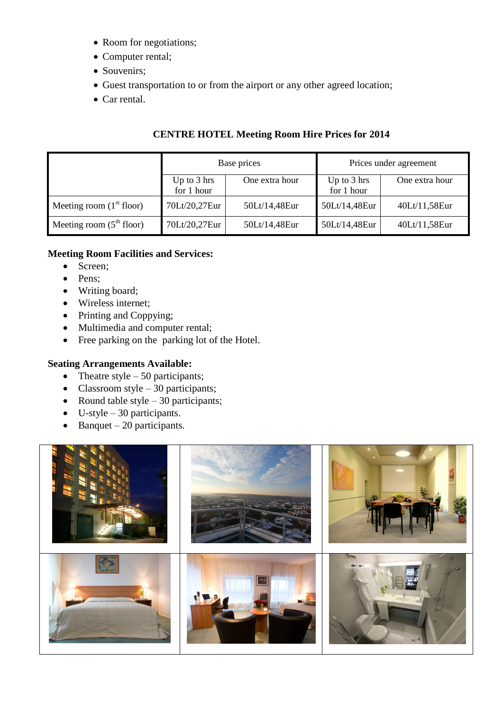- Room for negotiations;
- Computer rental;
- Souvenirs;
- Guest transportation to or from the airport or any other agreed location;
- Car rental.

|                            | Base prices                         |                | Prices under agreement              |                |
|----------------------------|-------------------------------------|----------------|-------------------------------------|----------------|
|                            | Up to $3 \text{ hrs}$<br>for 1 hour | One extra hour | Up to $3 \text{ hrs}$<br>for 1 hour | One extra hour |
| Meeting room $(1st$ floor) | 70Lt/20,27Eur                       | 50Lt/14,48Eur  | 50Lt/14,48Eur                       | 40Lt/11,58Eur  |
| Meeting room $(5th floor)$ | 70Lt/20,27Eur                       | 50Lt/14,48Eur  | 50Lt/14,48Eur                       | 40Lt/11,58Eur  |

# **CENTRE HOTEL Meeting Room Hire Prices for 2014**

## **Meeting Room Facilities and Services:**

- Screen;
- Pens;
- Writing board;
- Wireless internet;
- Printing and Coppying;
- Multimedia and computer rental;
- Free parking on the parking lot of the Hotel.

#### **Seating Arrangements Available:**

- Theatre style  $-50$  participants;
- Classroom style  $-30$  participants;
- Round table style  $-30$  participants;
- $\bullet$  U-style 30 participants.
- $\bullet$  Banquet 20 participants.